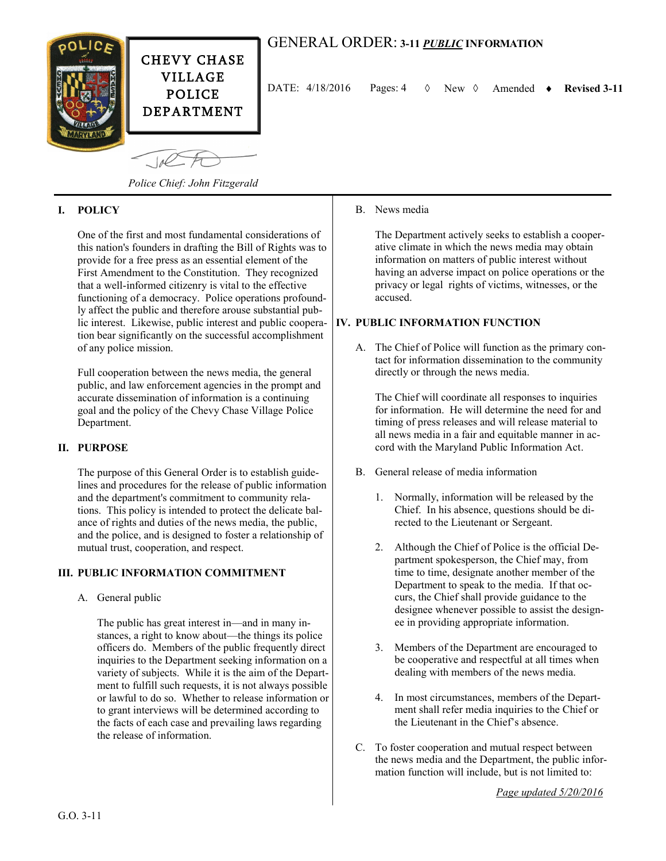

# GENERAL ORDER: **3-11** *PUBLIC* **INFORMATION**

DATE:  $4/18/2016$  Pages:  $4 \quad \Diamond$  New  $\Diamond$  Amended  $\bullet$  Revised 3-11

*Police Chief: John Fitzgerald*

#### **I. POLICY**

One of the first and most fundamental considerations of this nation's founders in drafting the Bill of Rights was to provide for a free press as an essential element of the First Amendment to the Constitution. They recognized that a well-informed citizenry is vital to the effective functioning of a democracy. Police operations profoundly affect the public and therefore arouse substantial public interest. Likewise, public interest and public cooperation bear significantly on the successful accomplishment of any police mission.

Full cooperation between the news media, the general public, and law enforcement agencies in the prompt and accurate dissemination of information is a continuing goal and the policy of the Chevy Chase Village Police Department.

#### **II. PURPOSE**

The purpose of this General Order is to establish guidelines and procedures for the release of public information and the department's commitment to community relations. This policy is intended to protect the delicate balance of rights and duties of the news media, the public, and the police, and is designed to foster a relationship of mutual trust, cooperation, and respect.

#### **III. PUBLIC INFORMATION COMMITMENT**

A. General public

The public has great interest in—and in many instances, a right to know about—the things its police officers do. Members of the public frequently direct inquiries to the Department seeking information on a variety of subjects. While it is the aim of the Department to fulfill such requests, it is not always possible or lawful to do so. Whether to release information or to grant interviews will be determined according to the facts of each case and prevailing laws regarding the release of information.

### B. News media

The Department actively seeks to establish a cooperative climate in which the news media may obtain information on matters of public interest without having an adverse impact on police operations or the privacy or legal rights of victims, witnesses, or the accused.

## **IV. PUBLIC INFORMATION FUNCTION**

A. The Chief of Police will function as the primary contact for information dissemination to the community directly or through the news media.

The Chief will coordinate all responses to inquiries for information. He will determine the need for and timing of press releases and will release material to all news media in a fair and equitable manner in accord with the Maryland Public Information Act.

- B. General release of media information
	- 1. Normally, information will be released by the Chief. In his absence, questions should be directed to the Lieutenant or Sergeant.
	- 2. Although the Chief of Police is the official Department spokesperson, the Chief may, from time to time, designate another member of the Department to speak to the media. If that occurs, the Chief shall provide guidance to the designee whenever possible to assist the designee in providing appropriate information.
	- 3. Members of the Department are encouraged to be cooperative and respectful at all times when dealing with members of the news media.
	- 4. In most circumstances, members of the Department shall refer media inquiries to the Chief or the Lieutenant in the Chief's absence.
- C. To foster cooperation and mutual respect between the news media and the Department, the public information function will include, but is not limited to:

*Page updated 5/20/2016*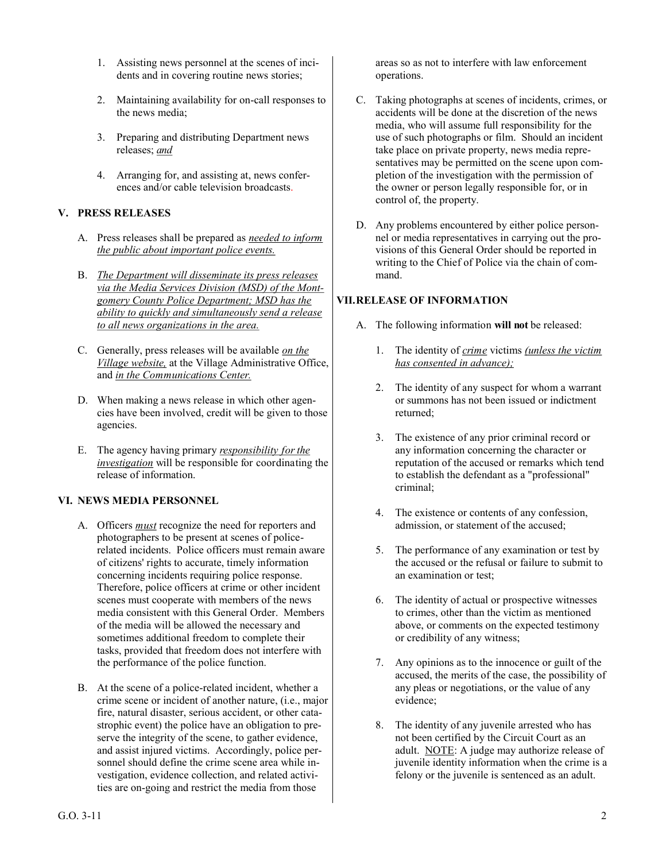- 1. Assisting news personnel at the scenes of incidents and in covering routine news stories;
- 2. Maintaining availability for on-call responses to the news media;
- 3. Preparing and distributing Department news releases; *and*
- 4. Arranging for, and assisting at, news conferences and/or cable television broadcasts.

## **V. PRESS RELEASES**

- A. Press releases shall be prepared as *needed to inform the public about important police events.*
- B. *The Department will disseminate its press releases via the Media Services Division (MSD) of the Montgomery County Police Department; MSD has the ability to quickly and simultaneously send a release to all news organizations in the area.*
- C. Generally, press releases will be available *on the Village website,* at the Village Administrative Office, and *in the Communications Center.*
- D. When making a news release in which other agencies have been involved, credit will be given to those agencies.
- E. The agency having primary *responsibility for the investigation* will be responsible for coordinating the release of information.

## **VI. NEWS MEDIA PERSONNEL**

- A. Officers *must* recognize the need for reporters and photographers to be present at scenes of policerelated incidents. Police officers must remain aware of citizens' rights to accurate, timely information concerning incidents requiring police response. Therefore, police officers at crime or other incident scenes must cooperate with members of the news media consistent with this General Order. Members of the media will be allowed the necessary and sometimes additional freedom to complete their tasks, provided that freedom does not interfere with the performance of the police function.
- B. At the scene of a police-related incident, whether a crime scene or incident of another nature, (i.e., major fire, natural disaster, serious accident, or other catastrophic event) the police have an obligation to preserve the integrity of the scene, to gather evidence, and assist injured victims. Accordingly, police personnel should define the crime scene area while investigation, evidence collection, and related activities are on-going and restrict the media from those

areas so as not to interfere with law enforcement operations.

- C. Taking photographs at scenes of incidents, crimes, or accidents will be done at the discretion of the news media, who will assume full responsibility for the use of such photographs or film. Should an incident take place on private property, news media representatives may be permitted on the scene upon completion of the investigation with the permission of the owner or person legally responsible for, or in control of, the property.
- D. Any problems encountered by either police personnel or media representatives in carrying out the provisions of this General Order should be reported in writing to the Chief of Police via the chain of command.

# **VII.RELEASE OF INFORMATION**

- A. The following information **will not** be released:
	- 1. The identity of *crime* victims *(unless the victim has consented in advance);*
	- 2. The identity of any suspect for whom a warrant or summons has not been issued or indictment returned;
	- 3. The existence of any prior criminal record or any information concerning the character or reputation of the accused or remarks which tend to establish the defendant as a "professional" criminal;
	- 4. The existence or contents of any confession, admission, or statement of the accused;
	- 5. The performance of any examination or test by the accused or the refusal or failure to submit to an examination or test;
	- 6. The identity of actual or prospective witnesses to crimes, other than the victim as mentioned above, or comments on the expected testimony or credibility of any witness;
	- 7. Any opinions as to the innocence or guilt of the accused, the merits of the case, the possibility of any pleas or negotiations, or the value of any evidence;
	- 8. The identity of any juvenile arrested who has not been certified by the Circuit Court as an adult. NOTE: A judge may authorize release of juvenile identity information when the crime is a felony or the juvenile is sentenced as an adult.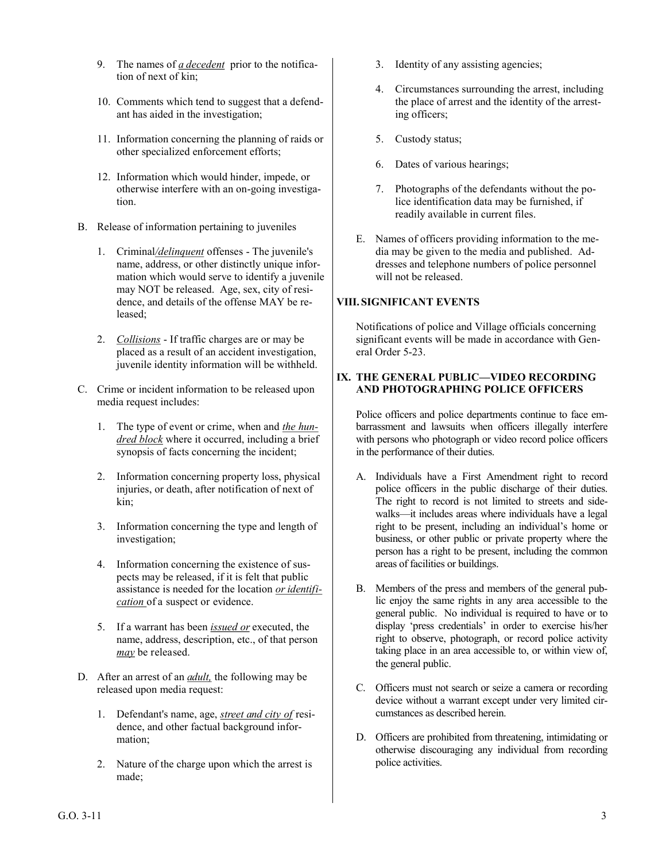- 9. The names of *a decedent* prior to the notification of next of kin;
- 10. Comments which tend to suggest that a defendant has aided in the investigation;
- 11. Information concerning the planning of raids or other specialized enforcement efforts;
- 12. Information which would hinder, impede, or otherwise interfere with an on-going investigation.
- B. Release of information pertaining to juveniles
	- 1. Criminal*/delinquent* offenses The juvenile's name, address, or other distinctly unique information which would serve to identify a juvenile may NOT be released. Age, sex, city of residence, and details of the offense MAY be released;
	- 2. *Collisions* If traffic charges are or may be placed as a result of an accident investigation, juvenile identity information will be withheld.
- C. Crime or incident information to be released upon media request includes:
	- 1. The type of event or crime, when and *the hundred block* where it occurred, including a brief synopsis of facts concerning the incident;
	- 2. Information concerning property loss, physical injuries, or death, after notification of next of kin;
	- 3. Information concerning the type and length of investigation;
	- 4. Information concerning the existence of suspects may be released, if it is felt that public assistance is needed for the location *or identification* of a suspect or evidence.
	- 5. If a warrant has been *issued or* executed, the name, address, description, etc., of that person *may* be released.
- D. After an arrest of an *adult,* the following may be released upon media request:
	- 1. Defendant's name, age, *street and city of* residence, and other factual background information;
	- 2. Nature of the charge upon which the arrest is made;
- 3. Identity of any assisting agencies;
- 4. Circumstances surrounding the arrest, including the place of arrest and the identity of the arresting officers;
- 5. Custody status;
- 6. Dates of various hearings;
- 7. Photographs of the defendants without the police identification data may be furnished, if readily available in current files.
- E. Names of officers providing information to the media may be given to the media and published. Addresses and telephone numbers of police personnel will not be released.

# **VIII.SIGNIFICANT EVENTS**

Notifications of police and Village officials concerning significant events will be made in accordance with General Order 5-23.

#### **IX. THE GENERAL PUBLIC—VIDEO RECORDING AND PHOTOGRAPHING POLICE OFFICERS**

Police officers and police departments continue to face embarrassment and lawsuits when officers illegally interfere with persons who photograph or video record police officers in the performance of their duties.

- A. Individuals have a First Amendment right to record police officers in the public discharge of their duties. The right to record is not limited to streets and sidewalks—it includes areas where individuals have a legal right to be present, including an individual's home or business, or other public or private property where the person has a right to be present, including the common areas of facilities or buildings.
- B. Members of the press and members of the general public enjoy the same rights in any area accessible to the general public. No individual is required to have or to display 'press credentials' in order to exercise his/her right to observe, photograph, or record police activity taking place in an area accessible to, or within view of, the general public.
- C. Officers must not search or seize a camera or recording device without a warrant except under very limited circumstances as described herein.
- D. Officers are prohibited from threatening, intimidating or otherwise discouraging any individual from recording police activities.